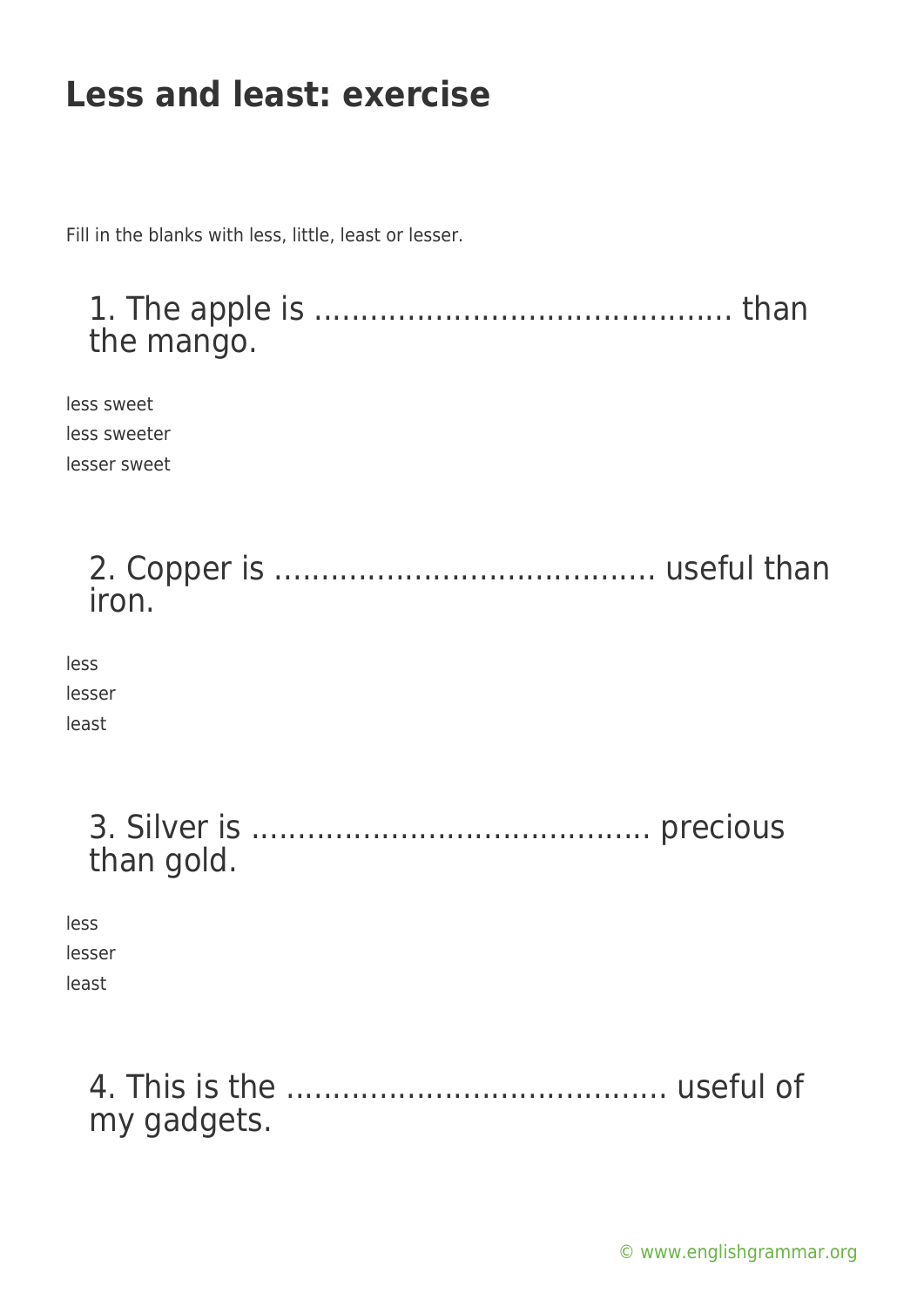# **Less and least: exercise**

Fill in the blanks with less, little, least or lesser.

1. The apple is ............................................. than the mango. less sweet less sweeter lesser sweet 2. Copper is ......................................... useful than iron. less lesser least 3. Silver is ........................................... precious than gold.

less lesser

least

4. This is the ......................................... useful of my gadgets.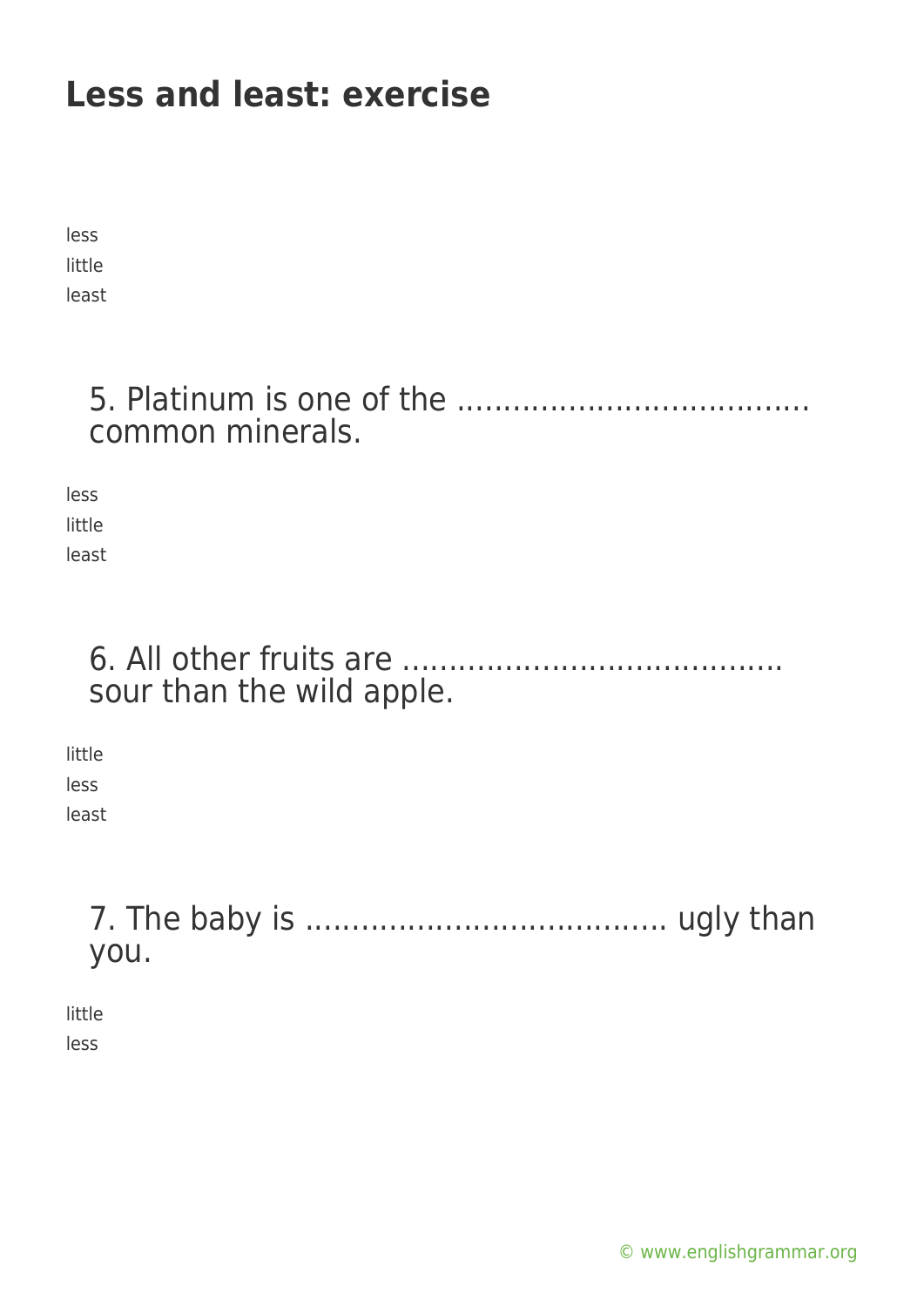# **Less and least: exercise**

less little least

#### 5. Platinum is one of the ...................................... common minerals.

less little least

### 6. All other fruits are ......................................... sour than the wild apple.

little less least

## 7. The baby is ....................................... ugly than you.

little less